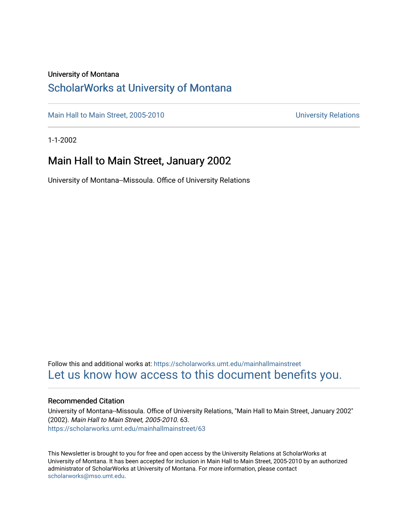#### University of Montana

### [ScholarWorks at University of Montana](https://scholarworks.umt.edu/)

[Main Hall to Main Street, 2005-2010](https://scholarworks.umt.edu/mainhallmainstreet) Main Hall to Main Street, 2005-2010

1-1-2002

#### Main Hall to Main Street, January 2002

University of Montana--Missoula. Office of University Relations

Follow this and additional works at: [https://scholarworks.umt.edu/mainhallmainstreet](https://scholarworks.umt.edu/mainhallmainstreet?utm_source=scholarworks.umt.edu%2Fmainhallmainstreet%2F63&utm_medium=PDF&utm_campaign=PDFCoverPages) [Let us know how access to this document benefits you.](https://goo.gl/forms/s2rGfXOLzz71qgsB2) 

#### Recommended Citation

University of Montana--Missoula. Office of University Relations, "Main Hall to Main Street, January 2002" (2002). Main Hall to Main Street, 2005-2010. 63. [https://scholarworks.umt.edu/mainhallmainstreet/63](https://scholarworks.umt.edu/mainhallmainstreet/63?utm_source=scholarworks.umt.edu%2Fmainhallmainstreet%2F63&utm_medium=PDF&utm_campaign=PDFCoverPages) 

This Newsletter is brought to you for free and open access by the University Relations at ScholarWorks at University of Montana. It has been accepted for inclusion in Main Hall to Main Street, 2005-2010 by an authorized administrator of ScholarWorks at University of Montana. For more information, please contact [scholarworks@mso.umt.edu.](mailto:scholarworks@mso.umt.edu)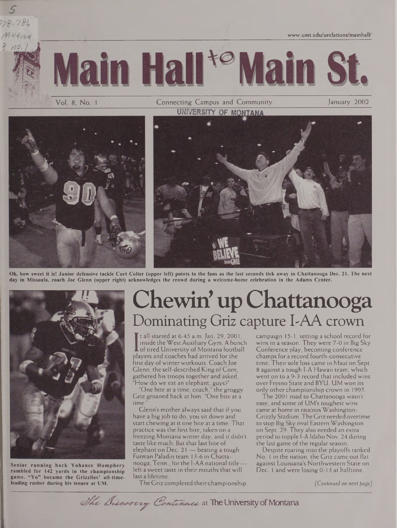**[www.umt.edu/urelations/mainhall/](http://www.umt.edu/urelations/mainhall/)**





Vol. 8, No. 1 Connecting Campus and Community January 2002<br> **UNIVERSITY OF MONTANA** 



Oh, how sweet it is! Junior defensive tackle Curt Colter (upper left) points to the fans as the last seconds tick away in Chattanooga Dec. 21. The next day in Missoula, coach Joe Glenn (upper right) acknowledges the crowd during a welcome-home celebration in the Adams Center.



**Senior running back Yohance Humphery rambled for 142 yards in the championship game. "Yo" became the Grizzlies' all-timeleading rusher during his tenure at UM.**

# Chewin' up Chattanooga Dominating Griz capture I-AA crown

**I** of tired University of Montana football<br>players and coaches had arrived for the<br>itrational containments of Gaseb les It all started at  $6:45$  a.m. Jan. 29, 2001, inside the West Auxiliary Gym. A bunch **L** of tired University of Montana football first day of winter workouts. Coach Joe Glenn, the self-described King of Corn, gathered his troops together and asked, "How do we eat an elephant, guys?"

"One bite at a time, coach," the groggy Griz groaned back at him. "One bite at a time.

Glenn's mother always said that if you have a big job to do, you sit down and start chewing at it one bite at a time. That practice was the first bite, taken on a freezing Montana winter day, and it didn't taste like much. But that last bite of elephant on Dec. 21 — beating a tough Furman Paladin team 13-6 in Chattanooga, Tenn., forthe I-AA national title left a sweet taste in their mouths that will last a lifetime.

The Griz completed theirchampionship

campaign 15-1, setting a school record for wins in a season. They were 7-0 in Big Sky Conference play, becoming conference champs for a record fourth-consecutive time. Their sole loss came in Maui on Sept. 8 against a tough I-A Hawaii team, which went on to a 9-3 record that included wins over Fresno State and BYU. UM won its only other championship crown in 1995.

The 2001 road to Chattanooga wasn't easy, and some of UM's toughest wins came at home in raucous Washington-GrizzlyStadium. The Griz needed overtime to stop Big Sky rival Eastern Washington on Sept. 29. They also needed an extra period to topple 1-A Idaho Nov. 24 during the last game of the regular season.

Despite roaring into the playoffs ranked No. <sup>1</sup> in the nation, the Griz came out flat against Louisiana's Northwestern State on Dec. <sup>1</sup> and were losing 0-13 at halftime.

*(Continued on next patje)*

The Discavery Continues at The University of Montana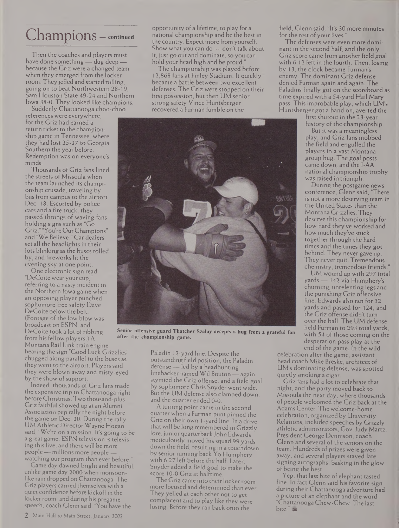## Champions — **continued**

Then the coaches and players must have done something — dug deep because the Griz were a changed team when they emerged from the locker room. They jelled and started rolling, going on to beat Northwestern 28-19, Sam Houston State 49-24 and Northern Iowa 38-0. They looked like champions.

Suddenly Chattanooga choo-choo references were everywhere, for the Griz had earned a return ticket to the championship game in Tennessee, where they had lost 25-27 to Georgia Southern the year before. Redemption was on everyone's minds.

Thousands of Griz fans lined the streets of Missoula when the team launched its championship crusade, traveling by bus from campus to the airport Dec. 18. Escorted by police cars and a fire truck, they passed throngs of waving fans holding signs such as "Go Griz," "You're OurChampions" and "We Believe." Car dealers set all the headlights in their lots blinking as the buses rolled by, and fireworks lit the evening sky at one point.

One electronic sign read "DeCoite wear your cup, referring to a nasty incident in the Northern Iowa game when an opposing player punched sophomore free safety Dave DeCoite below the belt. (Footage of the low blow was broadcast on ESPN, and DeCoite took a lot of ribbing from his fellow players.) A Montana Rail Link train engine bearing the sign "Good Luck Grizzlies" chugged along parallel to the buses as they went to the airport. Players said they were blown away and misty-eyed by the show of support.

Indeed, thousands of Griz fans made the expensive trip to Chattanooga right before Christmas. Two thousand-plus Griz faithful showed up at an Alumni Association pep rally the night before the game on Dec. 20. During the rally UM Athletic Director Wayne Hogan said, "We're on a mission. It's going to be a great game. ESPN television is televising this live, and there will be more people—millions more people watching our program than ever before.

Game day dawned bright and beautiful, unlike game day 2000 when monsoonlike rain dropped on Chattanooga. The Griz players carried themselves with a quiet confidence before kickoff in the locker room, and during his pregame speech, coach Glenn said, "You have the

The championship was played before 12,868 fans at Finley Stadium. It quickly became a battle between two excellent defenses. The Griz were stopped on their first possession, but then UM senior strong safety Vince Huntsberger recovered a Furman fumble on the



**Senior offensive guard Thatcher Szalay accepts a hug from a grateful fan after the championship game.**

Paladin 12-yard line. Despite the outstanding field position, the Paladin defense — led by a headhunting linebacker named Wil Bouton — again stymied the Griz offense, and a field goal by sophomore Chris Snyder went wide. But the UM defense also clamped down, and the quarter ended 0-0.

A turning point came in the second quarter when a Furman punt pinned the Griz on their own <sup>1</sup> -yard line. In a drive thatwill be long remembered in Grizzly lore, junior quarterback John Edwards meticulously moved his squad 99 yards down the field, resulting in a touchdown by senior running back Yo Humphery with 6:27 left before the half. Later, Snyder added a field goal to make the score 10-0 Griz at halftime.

The Griz came into their locker room more focused and determined than ever. They yelled at each other not to get complacent and to play like they were losing. Before they ran back onto the

field, Glenn said, "It's 30 more minutes for the rest of your lives.

The defenses were even more dominant in the second half, and the only Griz score came from another field goal with 6:12 left in the fourth. Then, losing by 13, the clock became Furman's enemy. The dominant Griz defense denied Furman again and again. The Paladins finally got on the scoreboard as time expired with a 54-yard Hail Mary pass. This improbable play, which UM's Huntsberger got a hand on, averted the

first shutout in the 23-year history of the championship.

But it was a meaningless play, and Griz fans mobbed the field and engulfed the

players in a vast Montana group hug. The goal posts came down, and the I-AA national championship trophy was raised in triumph.

During the postgame news conference, Glenn said, "There is not a more deserving team in the United States than the Montana Grizzlies. They deserve this championship for how hard they've worked and how much they've stuck together through the hard times and the times they got behind. They never gave up. They never quit. Tremendous chemistry, tremendous friends."

UM wound up with 297 total yards — 142 via Humphery's churning, unrelenting legs and the punishing Griz offensive line. Edwards also ran for 32 yards and passed for 124, and the Griz offense didn't turn over the ball. The UM defense held Furman to 293 total yards, with 54 of those coming on the desperation pass play at the end of the game. In the wild

celebration after the game, assistant head coach Mike Breske, architect of UM's dominating defense, was spotted quietly smoking a cigar.

Griz fans had a lot to celebrate that night, and the party moved back to Missoula the next day, where thousands of people welcomed the Griz back at the Adams Center. Thewelcome-home celebration, organized by University Relations, included speeches by Grizzly athletic administrators, Gov.Judy Martz, President George Dennison, coach Glenn and several of the seniors on the team. Hundreds of prizes were given away, and several players stayed late signing autographs, basking in the glow of being the best.

Yep, that last bite of elephant tasted fine. In fact Glenn said his favorite sign during theirChattanooga adventure had a picture of an elephant and the word "ChattanoogaChew-Chew. The last bite." &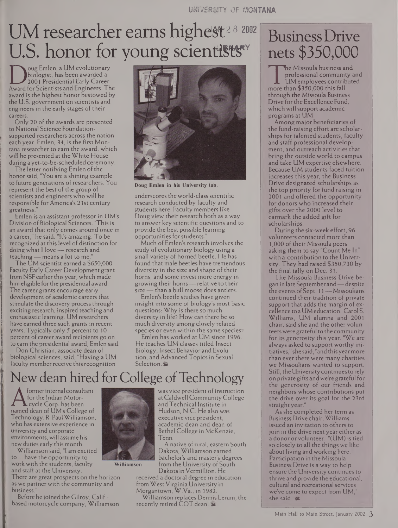# UM researcher earns highest<sup>28</sup> 2002 U.S. honor for young scientists

biologist, has been awarded a<br>
2001 Presidential Early Career<br>
Award for Scientists and Engineers. The<br>
award is the highest honor bestowed by oug Emlen, a UM evolutionary biologist, has been awarded a 2001 Presidential Early Career award is the highest honor bestowed by the U.S. government on scientists and engineers in the early stages of their careers.

Only 20 of the awards are presented to National Science Foundationsupported researchers across the nation each year. Emlen, 34, is the first Montana researcher to earn the award, which will be presented at the White House during a yet-to-be-scheduled ceremony.

The letter notifying Emlen of the honor said, "You are a shining example to future generations of researchers. You represent the best of the group of scientists and engineers who will be responsible for America's 21 st century greatness."

Emlen is an assistant professor in UM's Division of Biological Sciences. 'This is an award that only comes around once in a career," he said. "It's amazing. To be recognized at this level of distinction for doing what <sup>I</sup> love — research and teaching — means a lot to me."

The UM scientist earned a \$650,000 Faculty Early Career Development grant from NSF earlier this year, which made him eligible forthe presidential award. The career grants encourage early development of academic careers that stimulate the discovery process through exciting research, inspired teaching and enthusiastic learning. UM researchers have earned three such grants in recent years. Typically only 5 percent to 10 percent of career award recipients go on to earn the presidential award, Emlen said.

Don Christian, associate dean of biological sciences, said, "Having a UM faculty member receive this recognition



**Doug Emlen in his University lab.**

underscores the world-class scientific research conducted by faculty and students here. Faculty members like Doug view their research both as a way to answer key scientific questions and to provide the best possible learning opportunities for students.

Much of Emlen's research involves the study of evolutionary biology using a small variety of horned beetle. He has found that male beetles have tremendous diversity in the size and shape of their horns, and some invest more energy in growing their horns—relative to their size — than a bull moose does antlers.

Emlen's beetle studies have given insight into some of biology's most basic questions: Why is there so much diversity in life? How can there be so much diversity among closely related species or even within the same species?

Emlen has worked at UM since 1996. He teaches UM classes titled Insect Biology, Insect Behavior and Evolution, and Advanced Topics in Sexual Selection, 圖

## New dean hired for College of Technology

A for the Indian Motor-<br>
excel Corp. has been<br>
named dean of UM's College of<br>
Technology R. Paul Williamson formerinternal consultant for the Indian Motor- **L** cycle Corp. has been Technology. R. PaulWilliamson, who has extensive experience in university and corporate environments, will assume his new duties early this month.

Williamson said, "I am excited to ... have the opportunity to work with the students, faculty and staff at the University.

There are great prospects on the horizon as we partner with the community and business.

Before he joined the Gilroy, Calif.based motorcycle company, Williamson was vice president of instruction atCaldwell CommunityCollege and Technical Institute in Hudson, N.C. He also was executive vice president. academic dean and dean of Bethel College in McKenzie, Tenn.

A native of rural, eastern South Dakota, Williamson earned bachelor's and master's degrees from the University of South Dakota inVermillion. He

received a doctoral degree in education from West Virginia University in Morgantown, W.Va., in 1982.

Williamson replaces Dennis Lerum, the recently retired COT dean.

## BusinessDrive nets \$350,000

The Missoula business and<br>professional community<br>more than \$350,000 this fall<br>through the Missoula Business he Missoula business and professional community and UM employees contributed more than \$350,000 this fall Drive for the Excellence Fund, which will support academic programs at UM.

Among major beneficiaries of the fund-raising effort are scholarships for talented students, faculty and staff professional development, and outreach activities that bring the outside world to campus and take UM expertise elsewhere. Because UM students faced tuition increases this year, the Business Drive designated scholarships as the top priority for fund raising in 2001 and offered the opportunity for donors who increased their gifts over the 2000 level to earmark the added gift for scholarships.

During the six-week effort, 96 volunteers contacted more than 1,000 of their Missoula peers asking them to say "Count Me In" with a contribution to the University. They had raised \$350,730 by the final tally on Dec. 31.

The Missoula Business Drive began in late Septemberand—despite the events of Sept. 11 - Missoulians continued their tradition of private support that adds the margin of excellence to aUMeducation. CarolS. Williams, UM alumna and 2001 chair, said she and the other volunteerswere grateful to thecommunity for its generosity this year. "We are always asked to support worthy initiatives," she said, "and thisyearmore than ever there were many charities we Missoulians wanted to support. Still, the Universitycontinuesto rely on private gifts andwere grateful for the generosity of our friends and neighbors whose contributions put the drive over its goal for the 23rd straight year.

As she completed her term as Business Drive chair, Williams issued an invitation to others to join in the drive next year either as a donor or volunteer. "(UM) is tied so closely to all the things we like about living and working here. Participation in the Missoula Business Drive is a way to help ensure the University continues to thrive and provide the educational, cultural and recreational services we've come to expect from UM, she said. 當



**Williamson**